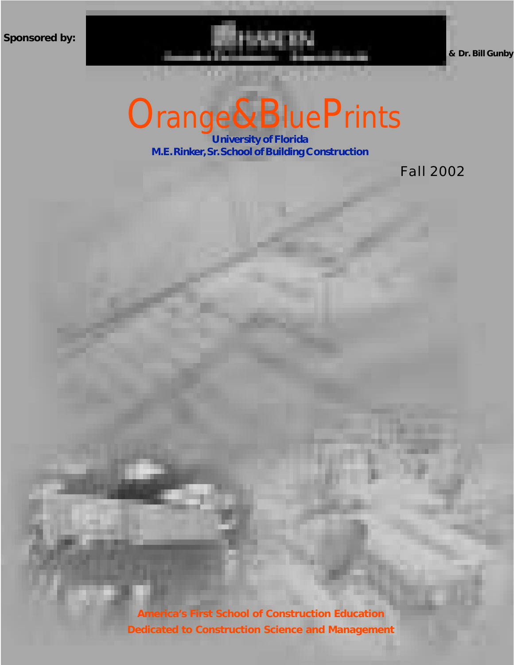**Sponsored by:**

## Orange&BluePrints

U 1999 A construction of Florida

**University of Florida M.E. Rinker, Sr. School of Building Construction**

Fall 2002

**America's First School of Construction Education Dedicated to Construction Science and Management**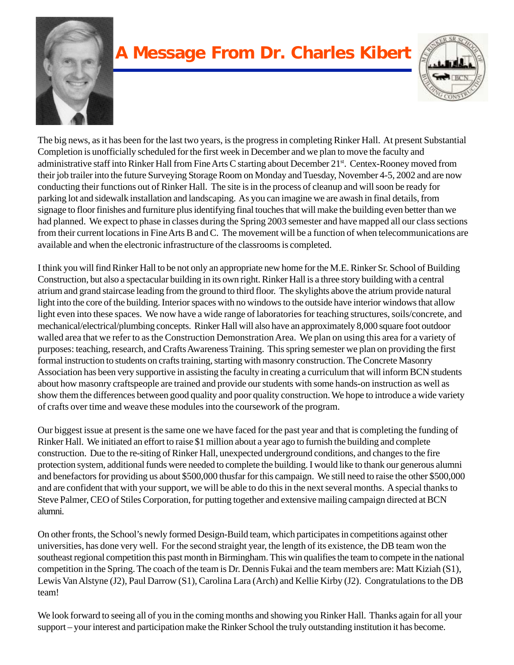

### **A Message From Dr. Charles Kibert**



The big news, as it has been for the last two years, is the progress in completing Rinker Hall. At present Substantial Completion is unofficially scheduled for the first week in December and we plan to move the faculty and administrative staff into Rinker Hall from Fine Arts C starting about December 21<sup>st</sup>. Centex-Rooney moved from their job trailer into the future Surveying Storage Room on Monday and Tuesday, November 4-5, 2002 and are now conducting their functions out of Rinker Hall. The site is in the process of cleanup and will soon be ready for parking lot and sidewalk installation and landscaping. As you can imagine we are awash in final details, from signage to floor finishes and furniture plus identifying final touches that will make the building even better than we had planned. We expect to phase in classes during the Spring 2003 semester and have mapped all our class sections from their current locations in Fine Arts B and C. The movement will be a function of when telecommunications are available and when the electronic infrastructure of the classrooms is completed.

I think you will find Rinker Hall to be not only an appropriate new home for the M.E. Rinker Sr. School of Building Construction, but also a spectacular building in its own right. Rinker Hall is a three story building with a central atrium and grand staircase leading from the ground to third floor. The skylights above the atrium provide natural light into the core of the building. Interior spaces with no windows to the outside have interior windows that allow light even into these spaces. We now have a wide range of laboratories for teaching structures, soils/concrete, and mechanical/electrical/plumbing concepts. Rinker Hall will also have an approximately 8,000 square foot outdoor walled area that we refer to as the Construction Demonstration Area. We plan on using this area for a variety of purposes: teaching, research, and Crafts Awareness Training. This spring semester we plan on providing the first formal instruction to students on crafts training, starting with masonry construction. The Concrete Masonry Association has been very supportive in assisting the faculty in creating a curriculum that will inform BCN students about how masonry craftspeople are trained and provide our students with some hands-on instruction as well as show them the differences between good quality and poor quality construction. We hope to introduce a wide variety of crafts over time and weave these modules into the coursework of the program.

Our biggest issue at present is the same one we have faced for the past year and that is completing the funding of Rinker Hall. We initiated an effort to raise \$1 million about a year ago to furnish the building and complete construction. Due to the re-siting of Rinker Hall, unexpected underground conditions, and changes to the fire protection system, additional funds were needed to complete the building. I would like to thank our generous alumni and benefactors for providing us about \$500,000 thusfar for this campaign. We still need to raise the other \$500,000 and are confident that with your support, we will be able to do this in the next several months. A special thanks to Steve Palmer, CEO of Stiles Corporation, for putting together and extensive mailing campaign directed at BCN alumni.

On other fronts, the School's newly formed Design-Build team, which participates in competitions against other universities, has done very well. For the second straight year, the length of its existence, the DB team won the southeast regional competition this past month in Birmingham. This win qualifies the team to compete in the national competition in the Spring. The coach of the team is Dr. Dennis Fukai and the team members are: Matt Kiziah (S1), Lewis Van Alstyne (J2), Paul Darrow (S1), Carolina Lara (Arch) and Kellie Kirby (J2). Congratulations to the DB team!

We look forward to seeing all of you in the coming months and showing you Rinker Hall. Thanks again for all your support – your interest and participation make the Rinker School the truly outstanding institution it has become.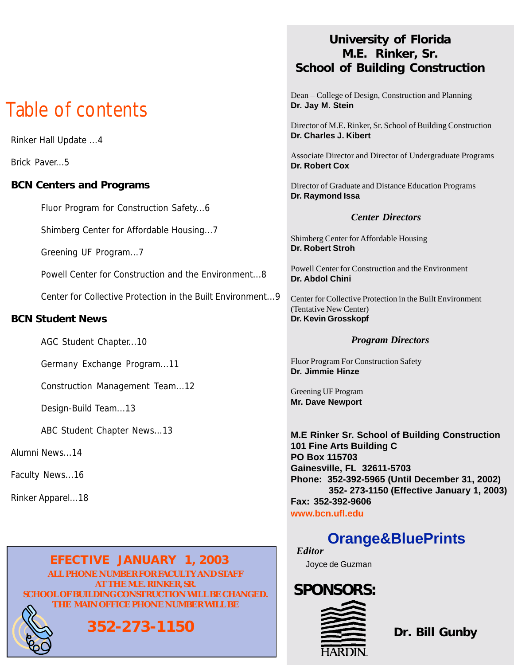## Table of contents

Rinker Hall Update ...4

Brick Paver...5

#### **BCN Centers and Programs**

Fluor Program for Construction Safety...6

Shimberg Center for Affordable Housing...7

Greening UF Program...7

Powell Center for Construction and the Environment...8

Center for Collective Protection in the Built Environment...9

#### **BCN Student News**

AGC Student Chapter...10

Germany Exchange Program...11

Construction Management Team...12

Design-Build Team...13

ABC Student Chapter News...13

#### Alumni News...14

Faculty News...16

Rinker Apparel...18

#### *EFECTIVE JANUARY 1, 2003* **ALL PHONE NUMBER FOR FACULTY AND STAFF AT THE M.E. RINKER, SR. SCHOOL OF BUILDING CONSTRUCTION WILL BE CHANGED. THE MAIN OFFICE PHONE NUMBER WILL BE**

## **352-273-1150**

#### **University of Florida M.E. Rinker, Sr. School of Building Construction**

Dean – College of Design, Construction and Planning **Dr. Jay M. Stein**

Director of M.E. Rinker, Sr. School of Building Construction **Dr. Charles J. Kibert**

Associate Director and Director of Undergraduate Programs **Dr. Robert Cox**

Director of Graduate and Distance Education Programs **Dr. Raymond Issa**

#### *Center Directors*

Shimberg Center for Affordable Housing **Dr. Robert Stroh**

Powell Center for Construction and the Environment **Dr. Abdol Chini**

Center for Collective Protection in the Built Environment (Tentative New Center) **Dr. Kevin Grosskopf**

#### *Program Directors*

Fluor Program For Construction Safety **Dr. Jimmie Hinze**

Greening UF Program **Mr. Dave Newport**

**M.E Rinker Sr. School of Building Construction 101 Fine Arts Building C PO Box 115703 Gainesville, FL 32611-5703 Phone: 352-392-5965 (Until December 31, 2002) 352- 273-1150 (Effective January 1, 2003) Fax: 352-392-9606 www.bcn.ufl.edu**

### **Orange&BluePrints**

Joyce de Guzman *Editor*

# **SPONSORS:**

**Dr. Bill Gunby**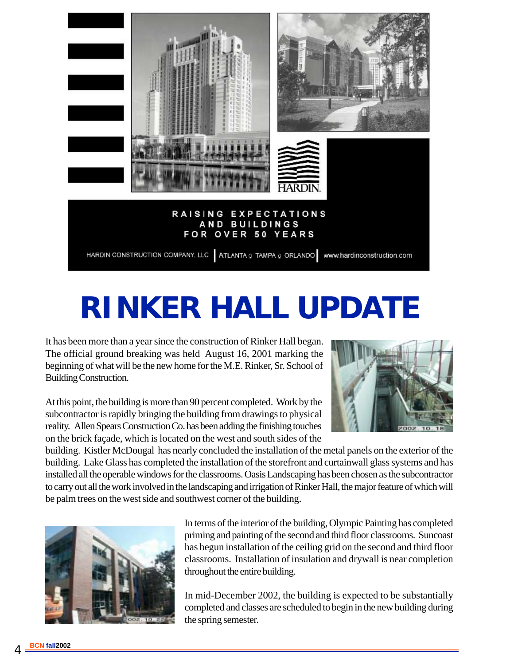

## **RINKER HALL UPDATE**

It has been more than a year since the construction of Rinker Hall began. The official ground breaking was held August 16, 2001 marking the beginning of what will be the new home for the M.E. Rinker, Sr. School of Building Construction.



At this point, the building is more than 90 percent completed. Work by the subcontractor is rapidly bringing the building from drawings to physical reality. Allen Spears Construction Co. has been adding the finishing touches on the brick façade, which is located on the west and south sides of the

building. Kistler McDougal has nearly concluded the installation of the metal panels on the exterior of the building. Lake Glass has completed the installation of the storefront and curtainwall glass systems and has installed all the operable windows for the classrooms. Oasis Landscaping has been chosen as the subcontractor to carry out all the work involved in the landscaping and irrigation of Rinker Hall, the major feature of which will be palm trees on the west side and southwest corner of the building.



In terms of the interior of the building, Olympic Painting has completed priming and painting of the second and third floor classrooms. Suncoast has begun installation of the ceiling grid on the second and third floor classrooms. Installation of insulation and drywall is near completion throughout the entire building.

In mid-December 2002, the building is expected to be substantially completed and classes are scheduled to begin in the new building during the spring semester.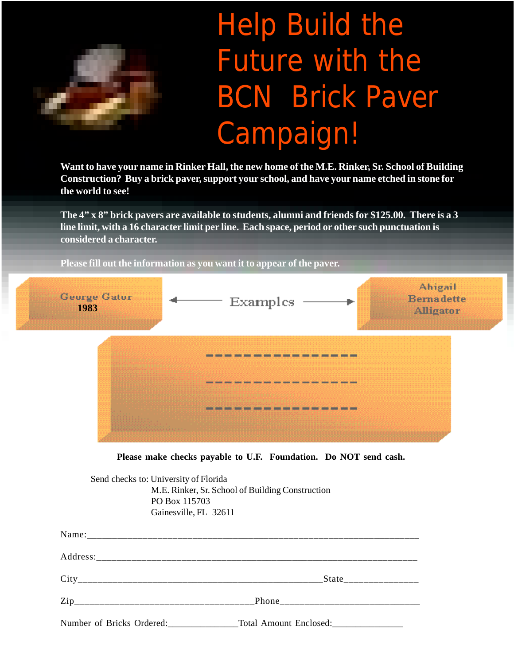

## Help Build the Future with the BCN Brick Paver Campaign!

**Want to have your name in Rinker Hall, the new home of the M.E. Rinker, Sr. School of Building Construction? Buy a brick paver, support your school, and have your name etched in stone for the world to see!**

**The 4" x 8" brick pavers are available to students, alumni and friends for \$125.00. There is a 3 line limit, with a 16 character limit per line. Each space, period or other such punctuation is considered a character.**

**Please fill out the information as you want it to appear of the paver.**



**Please make checks payable to U.F. Foundation. Do NOT send cash.**

Send checks to: University of Florida M.E. Rinker, Sr. School of Building Construction PO Box 115703 Gainesville, FL 32611

| Number of Bricks Ordered: |  |
|---------------------------|--|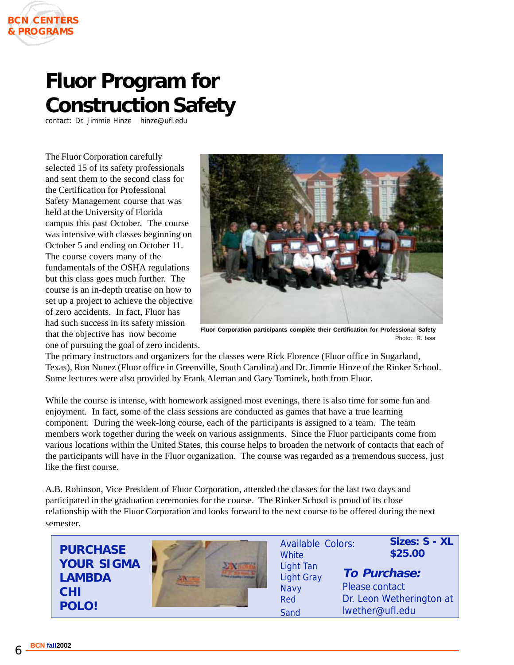

## **Fluor Program for Construction Safety**

contact: Dr. Jimmie Hinze hinze@ufl.edu

The Fluor Corporation carefully selected 15 of its safety professionals and sent them to the second class for the Certification for Professional Safety Management course that was held at the University of Florida campus this past October. The course was intensive with classes beginning on October 5 and ending on October 11. The course covers many of the fundamentals of the OSHA regulations but this class goes much further. The course is an in-depth treatise on how to set up a project to achieve the objective of zero accidents. In fact, Fluor has had such success in its safety mission that the objective has now become



**Fluor Corporation participants complete their Certification for Professional Safety** Photo: R. Issa

one of pursuing the goal of zero incidents.

The primary instructors and organizers for the classes were Rick Florence (Fluor office in Sugarland, Texas), Ron Nunez (Fluor office in Greenville, South Carolina) and Dr. Jimmie Hinze of the Rinker School. Some lectures were also provided by Frank Aleman and Gary Tominek, both from Fluor.

While the course is intense, with homework assigned most evenings, there is also time for some fun and enjoyment. In fact, some of the class sessions are conducted as games that have a true learning component. During the week-long course, each of the participants is assigned to a team. The team members work together during the week on various assignments. Since the Fluor participants come from various locations within the United States, this course helps to broaden the network of contacts that each of the participants will have in the Fluor organization. The course was regarded as a tremendous success, just like the first course.

A.B. Robinson, Vice President of Fluor Corporation, attended the classes for the last two days and participated in the graduation ceremonies for the course. The Rinker School is proud of its close relationship with the Fluor Corporation and looks forward to the next course to be offered during the next semester.

**PURCHASE YOUR SIGMA LAMBDA CHI POLO!**



Available Colors: **White** Light Tan Light Gray **Navy** Red Sand

**Sizes: S - XL \$25.00**

**To Purchase:** Please contact Dr. Leon Wetherington at lwether@ufl.edu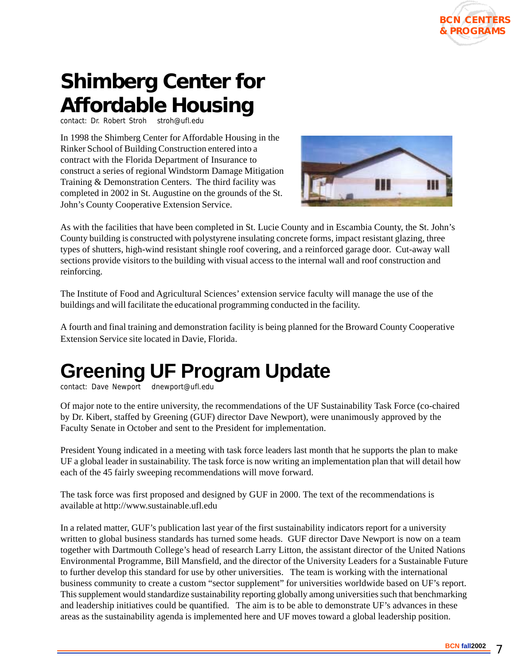

## **Shimberg Center for Affordable Housing**

contact: Dr. Robert Stroh stroh@ufl.edu

In 1998 the Shimberg Center for Affordable Housing in the Rinker School of Building Construction entered into a contract with the Florida Department of Insurance to construct a series of regional Windstorm Damage Mitigation Training & Demonstration Centers. The third facility was completed in 2002 in St. Augustine on the grounds of the St. John's County Cooperative Extension Service.



As with the facilities that have been completed in St. Lucie County and in Escambia County, the St. John's County building is constructed with polystyrene insulating concrete forms, impact resistant glazing, three types of shutters, high-wind resistant shingle roof covering, and a reinforced garage door. Cut-away wall sections provide visitors to the building with visual access to the internal wall and roof construction and reinforcing.

The Institute of Food and Agricultural Sciences' extension service faculty will manage the use of the buildings and will facilitate the educational programming conducted in the facility.

A fourth and final training and demonstration facility is being planned for the Broward County Cooperative Extension Service site located in Davie, Florida.

## **Greening UF Program Update**

contact: Dave Newport dnewport@ufl.edu

Of major note to the entire university, the recommendations of the UF Sustainability Task Force (co-chaired by Dr. Kibert, staffed by Greening (GUF) director Dave Newport), were unanimously approved by the Faculty Senate in October and sent to the President for implementation.

President Young indicated in a meeting with task force leaders last month that he supports the plan to make UF a global leader in sustainability. The task force is now writing an implementation plan that will detail how each of the 45 fairly sweeping recommendations will move forward.

The task force was first proposed and designed by GUF in 2000. The text of the recommendations is available at http://www.sustainable.ufl.edu

In a related matter, GUF's publication last year of the first sustainability indicators report for a university written to global business standards has turned some heads. GUF director Dave Newport is now on a team together with Dartmouth College's head of research Larry Litton, the assistant director of the United Nations Environmental Programme, Bill Mansfield, and the director of the University Leaders for a Sustainable Future to further develop this standard for use by other universities. The team is working with the international business community to create a custom "sector supplement" for universities worldwide based on UF's report. This supplement would standardize sustainability reporting globally among universities such that benchmarking and leadership initiatives could be quantified. The aim is to be able to demonstrate UF's advances in these areas as the sustainability agenda is implemented here and UF moves toward a global leadership position.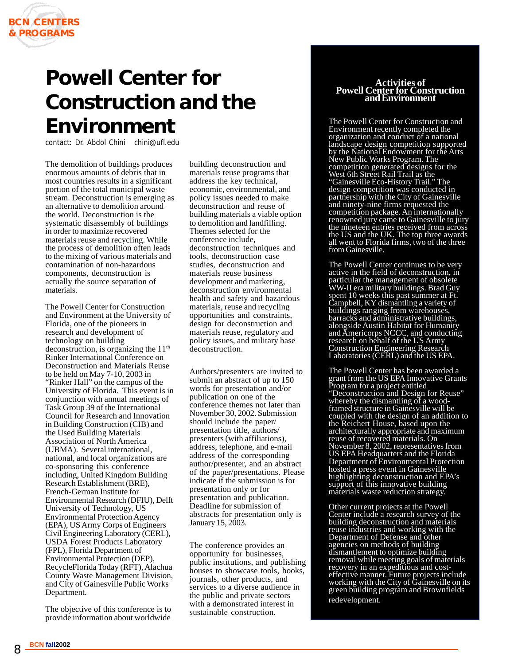## **Powell Center for Construction and the Environment**

contact: Dr. Abdol Chini chini@ufl.edu

The demolition of buildings produces enormous amounts of debris that in most countries results in a significant portion of the total municipal waste stream. Deconstruction is emerging as an alternative to demolition around the world. Deconstruction is the systematic disassembly of buildings in order to maximize recovered materials reuse and recycling. While the process of demolition often leads to the mixing of various materials and contamination of non-hazardous components, deconstruction is actually the source separation of materials.

The Powell Center for Construction and Environment at the University of Florida, one of the pioneers in research and development of technology on building deconstruction, is organizing the  $11<sup>th</sup>$ Rinker International Conference on Deconstruction and Materials Reuse to be held on May 7-10, 2003 in "Rinker Hall" on the campus of the University of Florida. This event is in conjunction with annual meetings of Task Group 39 of the International Council for Research and Innovation in Building Construction (CIB) and the Used Building Materials Association of North America (UBMA). Several international, national, and local organizations are co-sponsoring this conference including, United Kingdom Building Research Establishment (BRE), French-German Institute for Environmental Research (DFIU), Delft University of Technology, US Environmental Protection Agency (EPA), US Army Corps of Engineers Civil Engineering Laboratory (CERL), USDA Forest Products Laboratory (FPL), Florida Department of Environmental Protection (DEP), RecycleFlorida Today (RFT), Alachua County Waste Management Division, and City of Gainesville Public Works Department.

The objective of this conference is to provide information about worldwide

building deconstruction and materials reuse programs that address the key technical, economic, environmental, and policy issues needed to make deconstruction and reuse of building materials a viable option to demolition and landfilling. Themes selected for the conference include, deconstruction techniques and tools, deconstruction case studies, deconstruction and materials reuse business development and marketing, deconstruction environmental health and safety and hazardous materials, reuse and recycling opportunities and constraints, design for deconstruction and materials reuse, regulatory and policy issues, and military base deconstruction.

Authors/presenters are invited to submit an abstract of up to 150 words for presentation and/or publication on one of the conference themes not later than November 30, 2002. Submission should include the paper/ presentation title, authors/ presenters (with affiliations), address, telephone, and e-mail address of the corresponding author/presenter, and an abstract of the paper/presentations. Please indicate if the submission is for presentation only or for presentation and publication. Deadline for submission of abstracts for presentation only is January 15, 2003.

The conference provides an opportunity for businesses, public institutions, and publishing houses to showcase tools, books, journals, other products, and services to a diverse audience in the public and private sectors with a demonstrated interest in sustainable construction.

#### **Activities of Powell Center for Construction and Environment**

The Powell Center for Construction and Environment recently completed the organization and conduct of a national landscape design competition supported by the National Endowment for the Arts New Public Works Program. The competition generated designs for the West 6th Street Rail Trail as the "Gainesville Eco-History Trail." The design competition was conducted in partnership with the City of Gainesville and ninety-nine firms requested the competition package. An internationally renowned jury came to Gainesville to jury the nineteen entries received from across the US and the UK. The top three awards all went to Florida firms, two of the three from Gainesville.

The Powell Center continues to be very active in the field of deconstruction, in particular the management of obsolete WW-II era military buildings. Brad Guy spent 10 weeks this past summer at Ft. Campbell, KY dismantling a variety of buildings ranging from warehouses, barracks and administrative buildings, alongside Austin Habitat for Humanity and Americorps NCCC, and conducting research on behalf of the US Army Construction Engineering Research Laboratories (CERL) and the US EPA.

The Powell Center has been awarded a grant from the US EPA Innovative Grants Program for a project entitled "Deconstruction and Design for Reuse" whereby the dismantling of a woodframed structure in Gainesville will be coupled with the design of an addition to the Reichert House, based upon the architecturally appropriate and maximum reuse of recovered materials. On November 8, 2002, representatives from US EPA Headquarters and the Florida Department of Environmental Protection hosted a press event in Gainesville highlighting deconstruction and EPA's support of this innovative building materials waste reduction strategy.

Other current projects at the Powell Center include a research survey of the building deconstruction and materials reuse industries and working with the Department of Defense and other agencies on methods of building dismantlement to optimize building removal while meeting goals of materials recovery in an expeditious and costeffective manner. Future projects include working with the City of Gainesville on its green building program and Brownfields redevelopment.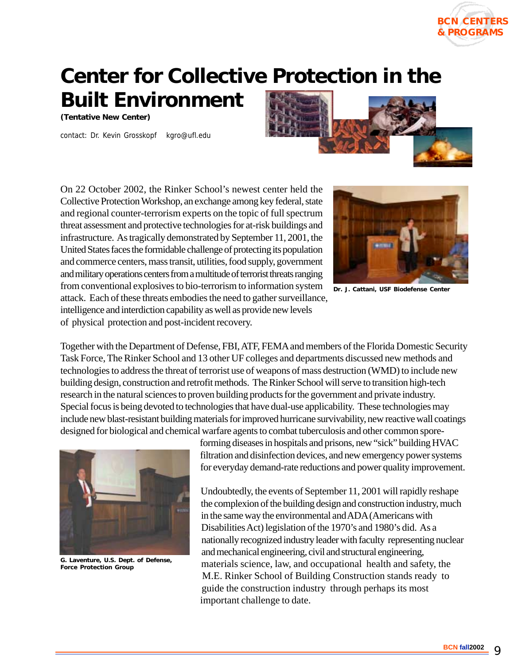## **Center for Collective Protection in the**

**Built Environment**

**(Tentative New Center)**

contact: Dr. Kevin Grosskopf kgro@ufl.edu



On 22 October 2002, the Rinker School's newest center held the Collective Protection Workshop, an exchange among key federal, state and regional counter-terrorism experts on the topic of full spectrum threat assessment and protective technologies for at-risk buildings and infrastructure. As tragically demonstrated by September 11, 2001, the United States faces the formidable challenge of protecting its population and commerce centers, mass transit, utilities, food supply, government and military operations centers from a multitude of terrorist threats ranging from conventional explosives to bio-terrorism to information system attack. Each of these threats embodies the need to gather surveillance, intelligence and interdiction capability as well as provide new levels of physical protection and post-incident recovery.



**BCN CENTERS & PROGRAMS**

**Dr. J. Cattani, USF Biodefense Center**

Together with the Department of Defense, FBI, ATF, FEMA and members of the Florida Domestic Security Task Force, The Rinker School and 13 other UF colleges and departments discussed new methods and technologies to address the threat of terrorist use of weapons of mass destruction (WMD) to include new building design, construction and retrofit methods. The Rinker School will serve to transition high-tech research in the natural sciences to proven building products for the government and private industry. Special focus is being devoted to technologies that have dual-use applicability. These technologies may include new blast-resistant building materials for improved hurricane survivability, new reactive wall coatings designed for biological and chemical warfare agents to combat tuberculosis and other common spore-



**G. Laventure, U.S. Dept. of Defense, Force Protection Group**

forming diseases in hospitals and prisons, new "sick" building HVAC filtration and disinfection devices, and new emergency power systems for everyday demand-rate reductions and power quality improvement.

Undoubtedly, the events of September 11, 2001 will rapidly reshape the complexion of the building design and construction industry, much in the same way the environmental and ADA (Americans with Disabilities Act) legislation of the 1970's and 1980's did. As a nationally recognized industry leader with faculty representing nuclear and mechanical engineering, civil and structural engineering, materials science, law, and occupational health and safety, the M.E. Rinker School of Building Construction stands ready to guide the construction industry through perhaps its most important challenge to date.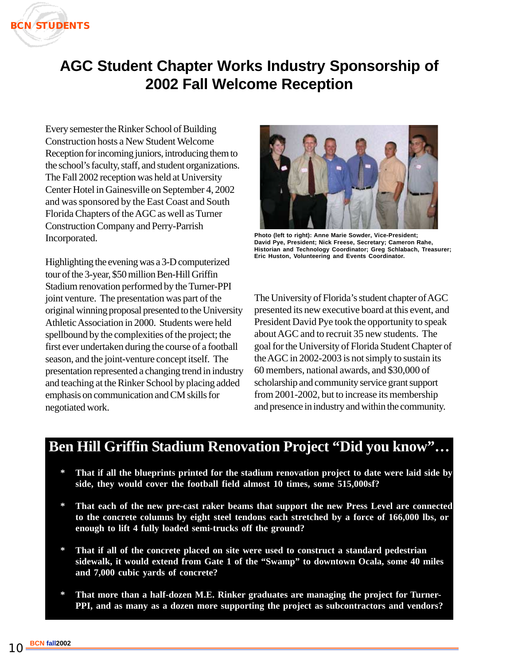

#### **AGC Student Chapter Works Industry Sponsorship of 2002 Fall Welcome Reception**

Every semester the Rinker School of Building Construction hosts a New Student Welcome Reception for incoming juniors, introducing them to the school's faculty, staff, and student organizations. The Fall 2002 reception was held at University Center Hotel in Gainesville on September 4, 2002 and was sponsored by the East Coast and South Florida Chapters of the AGC as well as Turner Construction Company and Perry-Parrish Incorporated.

Highlighting the evening was a 3-D computerized tour of the 3-year, \$50 million Ben-Hill Griffin Stadium renovation performed by the Turner-PPI joint venture. The presentation was part of the original winning proposal presented to the University Athletic Association in 2000. Students were held spellbound by the complexities of the project; the first ever undertaken during the course of a football season, and the joint-venture concept itself. The presentation represented a changing trend in industry and teaching at the Rinker School by placing added emphasis on communication and CM skills for negotiated work.



**Photo (left to right): Anne Marie Sowder, Vice-President; David Pye, President; Nick Freese, Secretary; Cameron Rahe, Historian and Technology Coordinator; Greg Schlabach, Treasurer; Eric Huston, Volunteering and Events Coordinator.**

The University of Florida's student chapter of AGC presented its new executive board at this event, and President David Pye took the opportunity to speak about AGC and to recruit 35 new students. The goal for the University of Florida Student Chapter of the AGC in 2002-2003 is not simply to sustain its 60 members, national awards, and \$30,000 of scholarship and community service grant support from 2001-2002, but to increase its membership and presence in industry and within the community.

#### **Ben Hill Griffin Stadium Renovation Project "Did you know"…**

- **\* That if all the blueprints printed for the stadium renovation project to date were laid side by side, they would cover the football field almost 10 times, some 515,000sf?**
- **\* That each of the new pre-cast raker beams that support the new Press Level are connected to the concrete columns by eight steel tendons each stretched by a force of 166,000 lbs, or enough to lift 4 fully loaded semi-trucks off the ground?**
- **\* That if all of the concrete placed on site were used to construct a standard pedestrian sidewalk, it would extend from Gate 1 of the "Swamp" to downtown Ocala, some 40 miles and 7,000 cubic yards of concrete?**
- That more than a half-dozen M.E. Rinker graduates are managing the project for Turner-**PPI, and as many as a dozen more supporting the project as subcontractors and vendors?**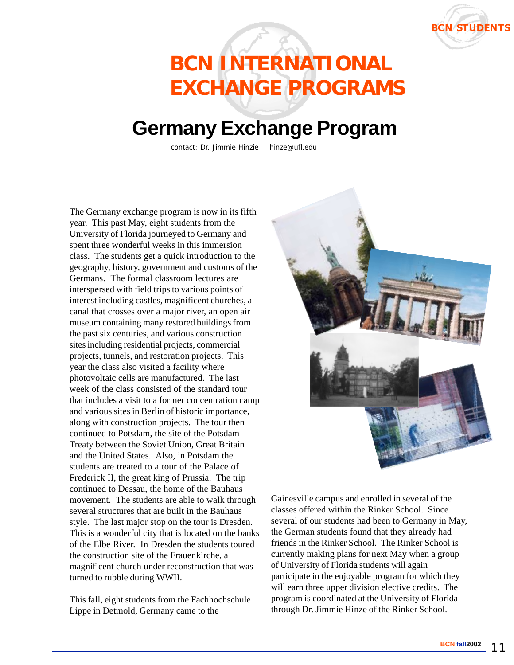

## **BCN INTERNATIONAL EXCHANGE PROGRAMS**

### **Germany Exchange Program**

contact: Dr. Jimmie Hinzie hinze@ufl.edu

The Germany exchange program is now in its fifth year. This past May, eight students from the University of Florida journeyed to Germany and spent three wonderful weeks in this immersion class. The students get a quick introduction to the geography, history, government and customs of the Germans. The formal classroom lectures are interspersed with field trips to various points of interest including castles, magnificent churches, a canal that crosses over a major river, an open air museum containing many restored buildings from the past six centuries, and various construction sites including residential projects, commercial projects, tunnels, and restoration projects. This year the class also visited a facility where photovoltaic cells are manufactured. The last week of the class consisted of the standard tour that includes a visit to a former concentration camp and various sites in Berlin of historic importance, along with construction projects. The tour then continued to Potsdam, the site of the Potsdam Treaty between the Soviet Union, Great Britain and the United States. Also, in Potsdam the students are treated to a tour of the Palace of Frederick II, the great king of Prussia. The trip continued to Dessau, the home of the Bauhaus movement. The students are able to walk through several structures that are built in the Bauhaus style. The last major stop on the tour is Dresden. This is a wonderful city that is located on the banks of the Elbe River. In Dresden the students toured the construction site of the Frauenkirche, a magnificent church under reconstruction that was turned to rubble during WWII.

This fall, eight students from the Fachhochschule Lippe in Detmold, Germany came to the



Gainesville campus and enrolled in several of the classes offered within the Rinker School. Since several of our students had been to Germany in May, the German students found that they already had friends in the Rinker School. The Rinker School is currently making plans for next May when a group of University of Florida students will again participate in the enjoyable program for which they will earn three upper division elective credits. The program is coordinated at the University of Florida through Dr. Jimmie Hinze of the Rinker School.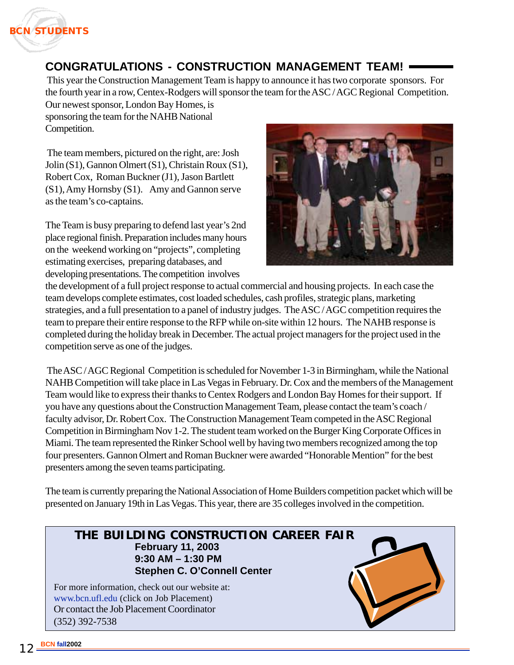

#### **CONGRATULATIONS - CONSTRUCTION MANAGEMENT TEAM!**

 This year the Construction Management Team is happy to announce it has two corporate sponsors. For the fourth year in a row, Centex-Rodgers will sponsor the team for the ASC / AGC Regional Competition. Our newest sponsor, London Bay Homes, is

sponsoring the team for the NAHB National Competition.

 The team members, pictured on the right, are: Josh Jolin (S1), Gannon Olmert (S1), Christain Roux (S1), Robert Cox, Roman Buckner (J1), Jason Bartlett (S1), Amy Hornsby (S1). Amy and Gannon serve as the team's co-captains.

The Team is busy preparing to defend last year's 2nd place regional finish. Preparation includes many hours on the weekend working on "projects", completing estimating exercises, preparing databases, and developing presentations. The competition involves



the development of a full project response to actual commercial and housing projects. In each case the team develops complete estimates, cost loaded schedules, cash profiles, strategic plans, marketing strategies, and a full presentation to a panel of industry judges. The ASC / AGC competition requires the team to prepare their entire response to the RFP while on-site within 12 hours. The NAHB response is completed during the holiday break in December. The actual project managers for the project used in the competition serve as one of the judges.

 The ASC / AGC Regional Competition is scheduled for November 1-3 in Birmingham, while the National NAHB Competition will take place in Las Vegas in February. Dr. Cox and the members of the Management Team would like to express their thanks to Centex Rodgers and London Bay Homes for their support. If you have any questions about the Construction Management Team, please contact the team's coach / faculty advisor, Dr. Robert Cox. The Construction Management Team competed in the ASC Regional Competition in Birmingham Nov 1-2. The student team worked on the Burger King Corporate Offices in Miami. The team represented the Rinker School well by having two members recognized among the top four presenters. Gannon Olmert and Roman Buckner were awarded "Honorable Mention" for the best presenters among the seven teams participating.

The team is currently preparing the National Association of Home Builders competition packet which will be presented on January 19th in Las Vegas. This year, there are 35 colleges involved in the competition.

#### **THE BUILDING CONSTRUCTION CAREER FAIR February 11, 2003 9:30 AM – 1:30 PM Stephen C. O'Connell Center**

Or contact the Job Placement Coordinator (352) 392-7538 For more information, check out our website at: www.bcn.ufl.edu (click on Job Placement)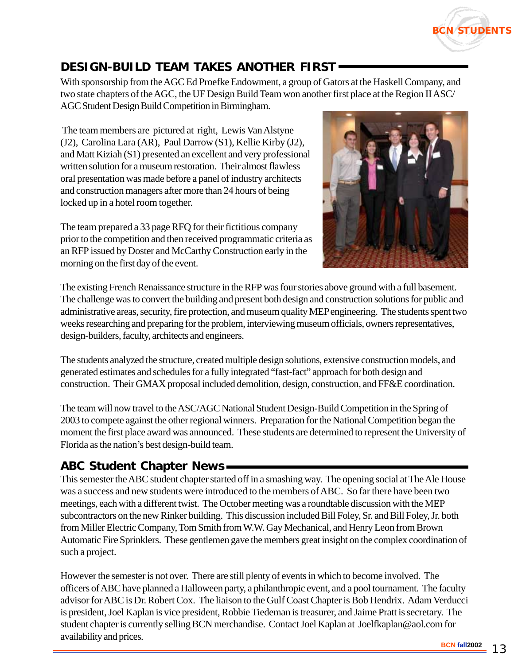

#### **DESIGN-BUILD TEAM TAKES ANOTHER FIRST**

With sponsorship from the AGC Ed Proefke Endowment, a group of Gators at the Haskell Company, and two state chapters of the AGC, the UF Design Build Team won another first place at the Region II ASC/ AGC Student Design Build Competition in Birmingham.

 The team members are pictured at right, Lewis Van Alstyne (J2), Carolina Lara (AR), Paul Darrow (S1), Kellie Kirby (J2), and Matt Kiziah (S1) presented an excellent and very professional written solution for a museum restoration. Their almost flawless oral presentation was made before a panel of industry architects and construction managers after more than 24 hours of being locked up in a hotel room together.

The team prepared a 33 page RFQ for their fictitious company prior to the competition and then received programmatic criteria as an RFP issued by Doster and McCarthy Construction early in the morning on the first day of the event.



The existing French Renaissance structure in the RFP was four stories above ground with a full basement. The challenge was to convert the building and present both design and construction solutions for public and administrative areas, security, fire protection, and museum quality MEP engineering. The students spent two weeks researching and preparing for the problem, interviewing museum officials, owners representatives, design-builders, faculty, architects and engineers.

The students analyzed the structure, created multiple design solutions, extensive construction models, and generated estimates and schedules for a fully integrated "fast-fact" approach for both design and construction. Their GMAX proposal included demolition, design, construction, and FF&E coordination.

The team will now travel to the ASC/AGC National Student Design-Build Competition in the Spring of 2003 to compete against the other regional winners. Preparation for the National Competition began the moment the first place award was announced. These students are determined to represent the University of Florida as the nation's best design-build team.

#### **ABC Student Chapter News**

This semester the ABC student chapter started off in a smashing way. The opening social at The Ale House was a success and new students were introduced to the members of ABC. So far there have been two meetings, each with a different twist. The October meeting was a roundtable discussion with the MEP subcontractors on the new Rinker building. This discussion included Bill Foley, Sr. and Bill Foley, Jr. both from Miller Electric Company, Tom Smith from W.W. Gay Mechanical, and Henry Leon from Brown Automatic Fire Sprinklers. These gentlemen gave the members great insight on the complex coordination of such a project.

However the semester is not over. There are still plenty of events in which to become involved. The officers of ABC have planned a Halloween party, a philanthropic event, and a pool tournament. The faculty advisor for ABC is Dr. Robert Cox. The liaison to the Gulf Coast Chapter is Bob Hendrix. Adam Verducci is president, Joel Kaplan is vice president, Robbie Tiedeman is treasurer, and Jaime Pratt is secretary. The student chapter is currently selling BCN merchandise. Contact Joel Kaplan at Joelfkaplan@aol.com for availability and prices.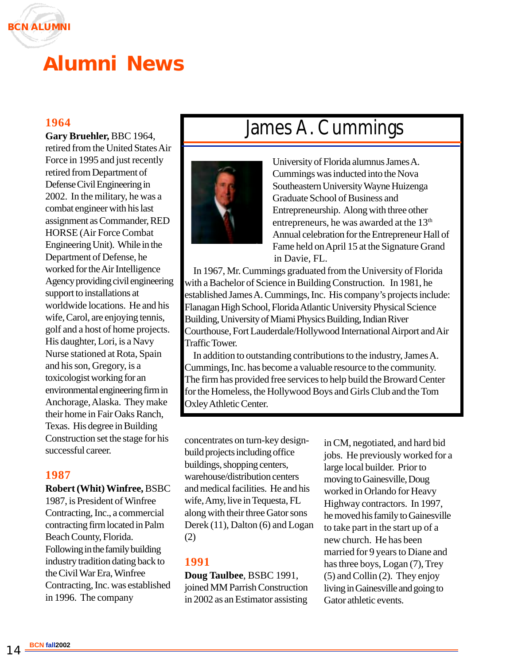

## **Alumni News**

**Gary Bruehler,** BBC 1964, retired from the United States Air Force in 1995 and just recently retired from Department of Defense Civil Engineering in 2002. In the military, he was a combat engineer with his last assignment as Commander, RED HORSE (Air Force Combat Engineering Unit). While in the Department of Defense, he worked for the Air Intelligence Agency providing civil engineering support to installations at worldwide locations. He and his wife, Carol, are enjoying tennis, golf and a host of home projects. His daughter, Lori, is a Navy Nurse stationed at Rota, Spain and his son, Gregory, is a toxicologist working for an environmental engineering firm in Anchorage, Alaska. They make their home in Fair Oaks Ranch, Texas. His degree in Building Construction set the stage for his successful career.

#### **1987**

**Robert (Whit) Winfree,** BSBC

1987, is President of Winfree Contracting, Inc., a commercial contracting firm located in Palm Beach County, Florida. Following in the family building industry tradition dating back to the Civil War Era, Winfree Contracting, Inc. was established in 1996. The company

## 1964<br>Cory Bruebler, BBC 1964



University of Florida alumnus James A. Cummings was inducted into the Nova Southeastern University Wayne Huizenga Graduate School of Business and Entrepreneurship. Along with three other entrepreneurs, he was awarded at the 13<sup>th</sup> Annual celebration for the Entrepreneur Hall of Fame held on April 15 at the Signature Grand in Davie, FL.

 In 1967, Mr. Cummings graduated from the University of Florida with a Bachelor of Science in Building Construction. In 1981, he established James A. Cummings, Inc. His company's projects include: Flanagan High School, Florida Atlantic University Physical Science Building, University of Miami Physics Building, Indian River Courthouse, Fort Lauderdale/Hollywood International Airport and Air Traffic Tower.

 In addition to outstanding contributions to the industry, James A. Cummings, Inc. has become a valuable resource to the community. The firm has provided free services to help build the Broward Center for the Homeless, the Hollywood Boys and Girls Club and the Tom Oxley Athletic Center.

concentrates on turn-key designbuild projects including office buildings, shopping centers, warehouse/distribution centers and medical facilities. He and his wife, Amy, live in Tequesta, FL along with their three Gator sons Derek (11), Dalton (6) and Logan (2)

#### **1991**

**Doug Taulbee**, BSBC 1991, joined MM Parrish Construction in 2002 as an Estimator assisting in CM, negotiated, and hard bid jobs. He previously worked for a large local builder. Prior to moving to Gainesville, Doug worked in Orlando for Heavy Highway contractors. In 1997, he moved his family to Gainesville to take part in the start up of a new church. He has been married for 9 years to Diane and has three boys, Logan (7), Trey (5) and Collin (2). They enjoy living in Gainesville and going to Gator athletic events.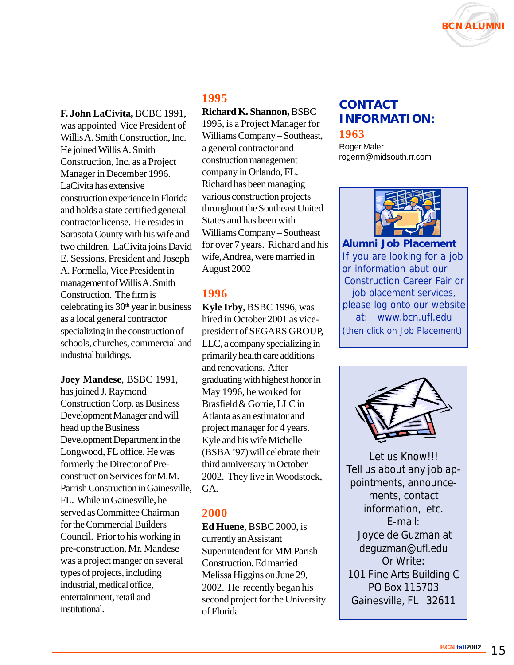

**F. John LaCivita,** BCBC 1991,

was appointed Vice President of Willis A. Smith Construction, Inc. He joined Willis A. Smith Construction, Inc. as a Project Manager in December 1996. LaCivita has extensive construction experience in Florida and holds a state certified general contractor license. He resides in Sarasota County with his wife and two children. LaCivita joins David E. Sessions, President and Joseph A. Formella, Vice President in management of Willis A. Smith Construction. The firm is celebrating its  $30<sup>th</sup>$  year in business as a local general contractor specializing in the construction of schools, churches, commercial and industrial buildings.

**Joey Mandese**, BSBC 1991, has joined J. Raymond Construction Corp. as Business Development Manager and will head up the Business Development Department in the Longwood, FL office. He was formerly the Director of Preconstruction Services for M.M. Parrish Construction in Gainesville, FL. While in Gainesville, he served as Committee Chairman for the Commercial Builders Council. Prior to his working in pre-construction, Mr. Mandese was a project manger on several types of projects, including industrial, medical office, entertainment, retail and institutional.

#### **1995**

**Richard K. Shannon,** BSBC

1995, is a Project Manager for Williams Company – Southeast, a general contractor and construction management company in Orlando, FL. Richard has been managing various construction projects throughout the Southeast United States and has been with Williams Company – Southeast for over 7 years. Richard and his wife, Andrea, were married in August 2002

#### **1996**

**Kyle Irby**, BSBC 1996, was hired in October 2001 as vicepresident of SEGARS GROUP, LLC, a company specializing in primarily health care additions and renovations. After graduating with highest honor in May 1996, he worked for Brasfield & Gorrie, LLC in Atlanta as an estimator and project manager for 4 years. Kyle and his wife Michelle (BSBA '97) will celebrate their third anniversary in October 2002. They live in Woodstock, GA.

#### **2000**

**Ed Huene**, BSBC 2000, is currently an Assistant Superintendent for MM Parish Construction. Ed married Melissa Higgins on June 29, 2002. He recently began his second project for the University of Florida

#### **1963 CONTACT INFORMATION:**

Roger Maler rogerm@midsouth.rr.com



**Alumni Job Placement** If you are looking for a job or information abut our Construction Career Fair or job placement services, please log onto our website at: www.bcn.ufl.edu (then click on Job Placement)



Let us Know!!! Tell us about any job appointments, announcements, contact information, etc. E-mail: Joyce de Guzman at deguzman@ufl.edu Or Write: 101 Fine Arts Building C PO Box 115703 Gainesville, FL 32611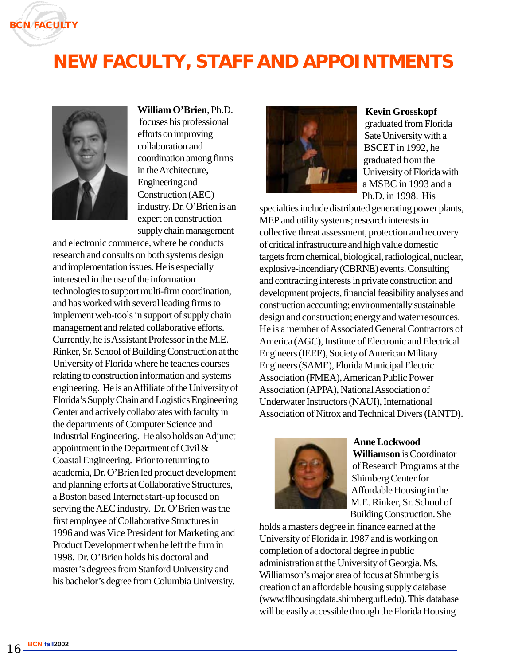

## **NEW FACULTY, STAFF AND APPOINTMENTS**



**William O'Brien**, Ph.D.

 focuses his professional efforts on improving collaboration and coordination among firms in the Architecture, Engineering and Construction (AEC) industry. Dr. O'Brien is an expert on construction supply chain management

and electronic commerce, where he conducts research and consults on both systems design and implementation issues. He is especially interested in the use of the information technologies to support multi-firm coordination, and has worked with several leading firms to implement web-tools in support of supply chain management and related collaborative efforts. Currently, he is Assistant Professor in the M.E. Rinker, Sr. School of Building Construction at the University of Florida where he teaches courses relating to construction information and systems engineering. He is an Affiliate of the University of Florida's Supply Chain and Logistics Engineering Center and actively collaborates with faculty in the departments of Computer Science and Industrial Engineering. He also holds an Adjunct appointment in the Department of Civil & Coastal Engineering. Prior to returning to academia, Dr. O'Brien led product development and planning efforts at Collaborative Structures, a Boston based Internet start-up focused on serving the AEC industry. Dr. O'Brien was the first employee of Collaborative Structures in 1996 and was Vice President for Marketing and Product Development when he left the firm in 1998. Dr. O'Brien holds his doctoral and master's degrees from Stanford University and his bachelor's degree from Columbia University.



#### **Kevin Grosskopf**

graduated from Florida Sate University with a BSCET in 1992, he graduated from the University of Florida with a MSBC in 1993 and a Ph.D. in 1998. His

specialties include distributed generating power plants, MEP and utility systems; research interests in collective threat assessment, protection and recovery of critical infrastructure and high value domestic targets from chemical, biological, radiological, nuclear, explosive-incendiary (CBRNE) events. Consulting and contracting interests in private construction and development projects, financial feasibility analyses and construction accounting; environmentally sustainable design and construction; energy and water resources. He is a member of Associated General Contractors of America (AGC), Institute of Electronic and Electrical Engineers (IEEE), Society of American Military Engineers (SAME), Florida Municipal Electric Association (FMEA), American Public Power Association (APPA), National Association of Underwater Instructors (NAUI), International Association of Nitrox and Technical Divers (IANTD).



**Anne Lockwood Williamson** is Coordinator of Research Programs at the Shimberg Center for Affordable Housing in the M.E. Rinker, Sr. School of Building Construction. She

holds a masters degree in finance earned at the University of Florida in 1987 and is working on completion of a doctoral degree in public administration at the University of Georgia. Ms. Williamson's major area of focus at Shimberg is creation of an affordable housing supply database (www.flhousingdata.shimberg.ufl.edu). This database will be easily accessible through the Florida Housing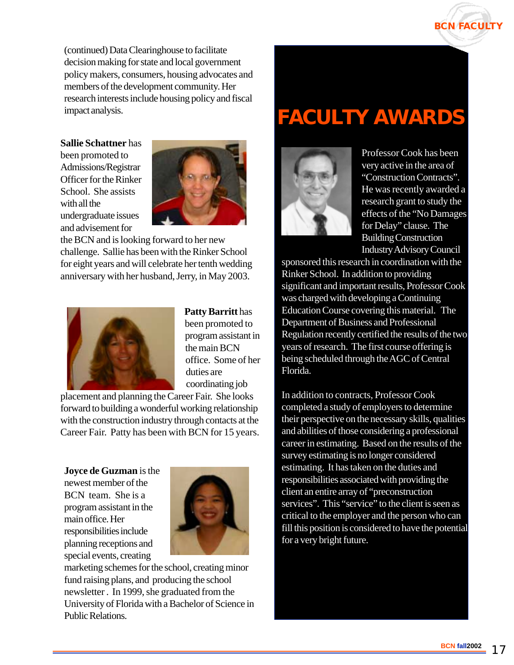

(continued) Data Clearinghouse to facilitate decision making for state and local government policy makers, consumers, housing advocates and members of the development community. Her research interests include housing policy and fiscal impact analysis.

#### **Sallie Schattner** has

been promoted to Admissions/Registrar Officer for the Rinker School. She assists with all the undergraduate issues and advisement for



the BCN and is looking forward to her new challenge. Sallie has been with the Rinker School for eight years and will celebrate her tenth wedding anniversary with her husband, Jerry, in May 2003.



**Patty Barritt** has been promoted to program assistant in the main BCN office. Some of her duties are coordinating job

placement and planning the Career Fair. She looks forward to building a wonderful working relationship with the construction industry through contacts at the Career Fair. Patty has been with BCN for 15 years.

**Joyce de Guzman** is the newest member of the BCN team. She is a program assistant in the main office. Her responsibilities include planning receptions and special events, creating



marketing schemes for the school, creating minor fund raising plans, and producing the school newsletter . In 1999, she graduated from the University of Florida with a Bachelor of Science in Public Relations.

## **FACULTY AWARDS**



Professor Cook has been very active in the area of "Construction Contracts". He was recently awarded a research grant to study the effects of the "No Damages for Delay" clause. The Building Construction Industry Advisory Council

sponsored this research in coordination with the Rinker School. In addition to providing significant and important results, Professor Cook was charged with developing a Continuing Education Course covering this material. The Department of Business and Professional Regulation recently certified the results of the two years of research. The first course offering is being scheduled through the AGC of Central Florida.

In addition to contracts, Professor Cook completed a study of employers to determine their perspective on the necessary skills, qualities and abilities of those considering a professional career in estimating. Based on the results of the survey estimating is no longer considered estimating. It has taken on the duties and responsibilities associated with providing the client an entire array of "preconstruction services". This "service" to the client is seen as critical to the employer and the person who can fill this position is considered to have the potential for a very bright future.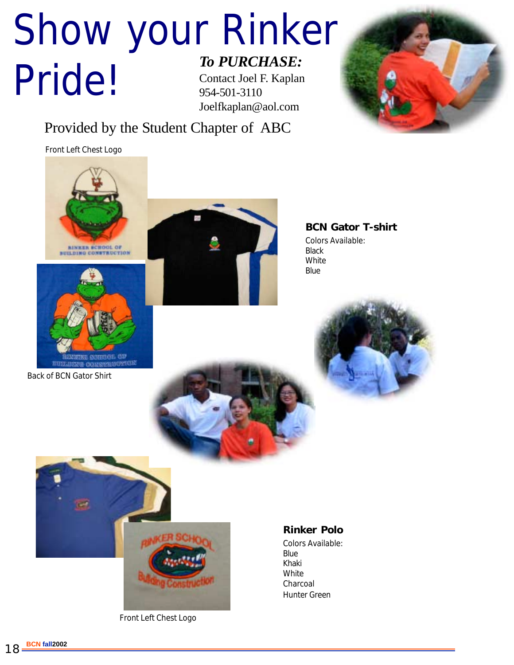#### Show your Rinker Pride! *To PURCHASE:* Contact Joel F. Kaplan 954-501-3110 Joelfkaplan@aol.com



#### Provided by the Student Chapter of ABC

Front Left Chest Logo



**SOUTHOL** 

Back of BCN Gator Shirt



**BCN Gator T-shirt** Colors Available: **Black** White **Blue** 





Front Left Chest Logo

#### **Rinker Polo**

Colors Available: Blue Khaki **White** Charcoal Hunter Green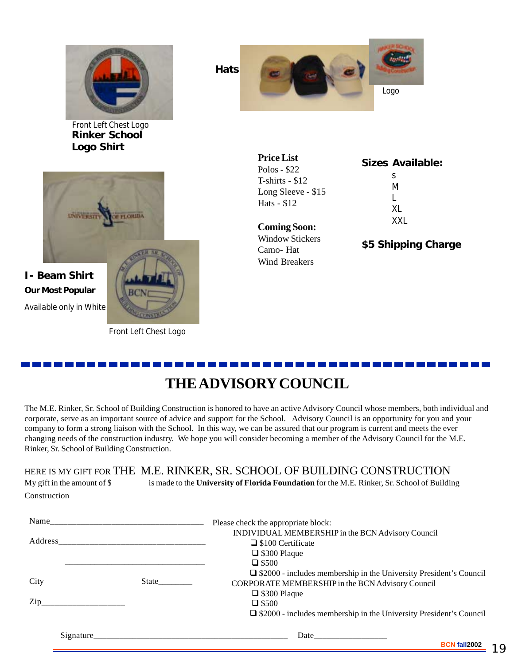

**Rinker School Logo Shirt** Front Left Chest Logo



#### **I- Beam Shirt Our Most Popular** Available only in White

Front Left Chest Logo

**Hats** Logo

> **Price List** Polos - \$22 T-shirts - \$12 Long Sleeve - \$15 Hats - \$12

**Coming Soon:** Window Stickers Camo- Hat Wind Breakers

**Sizes Available:** s M L XL XXL

**\$5 Shipping Charge**

#### **THE ADVISORY COUNCIL**

The M.E. Rinker, Sr. School of Building Construction is honored to have an active Advisory Council whose members, both individual and corporate, serve as an important source of advice and support for the School. Advisory Council is an opportunity for you and your company to form a strong liaison with the School. In this way, we can be assured that our program is current and meets the ever changing needs of the construction industry. We hope you will consider becoming a member of the Advisory Council for the M.E. Rinker, Sr. School of Building Construction.

#### HERE IS MY GIFT FOR THE M.E. RINKER, SR. SCHOOL OF BUILDING CONSTRUCTION

| My gift in the amount of $\$$ | is made to the University of Florida Foundation for the M.E. Rinker, Sr. School of Building |
|-------------------------------|---------------------------------------------------------------------------------------------|
| Construction                  |                                                                                             |

| Name             |       | Please check the appropriate block:                                       |
|------------------|-------|---------------------------------------------------------------------------|
|                  |       | INDIVIDUAL MEMBERSHIP in the BCN Advisory Council<br>□ \$100 Certificate  |
|                  |       | $\Box$ \$300 Plaque                                                       |
|                  |       | $\Box$ \$500                                                              |
|                  |       | $\Box$ \$2000 - includes membership in the University President's Council |
| City             | State | CORPORATE MEMBERSHIP in the BCN Advisory Council                          |
|                  |       | $\Box$ \$300 Plaque                                                       |
| $\mathsf{Zip}\_$ |       | $\Box$ \$500                                                              |
|                  |       | $\Box$ \$2000 - includes membership in the University President's Council |
| Signature        |       |                                                                           |